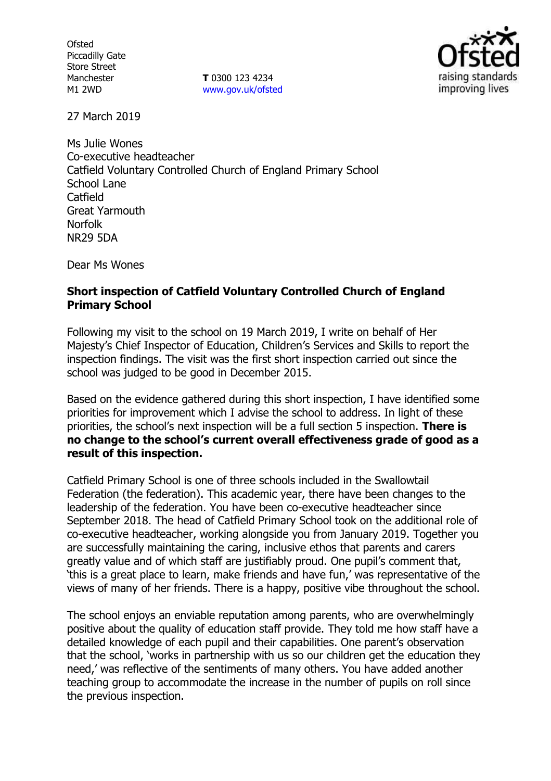**Ofsted** Piccadilly Gate Store Street Manchester M1 2WD

**T** 0300 123 4234 www.gov.uk/ofsted



27 March 2019

Ms Julie Wones Co-executive headteacher Catfield Voluntary Controlled Church of England Primary School School Lane Catfield Great Yarmouth Norfolk NR29 5DA

Dear Ms Wones

### **Short inspection of Catfield Voluntary Controlled Church of England Primary School**

Following my visit to the school on 19 March 2019, I write on behalf of Her Majesty's Chief Inspector of Education, Children's Services and Skills to report the inspection findings. The visit was the first short inspection carried out since the school was judged to be good in December 2015.

Based on the evidence gathered during this short inspection, I have identified some priorities for improvement which I advise the school to address. In light of these priorities, the school's next inspection will be a full section 5 inspection. **There is no change to the school's current overall effectiveness grade of good as a result of this inspection.**

Catfield Primary School is one of three schools included in the Swallowtail Federation (the federation). This academic year, there have been changes to the leadership of the federation. You have been co-executive headteacher since September 2018. The head of Catfield Primary School took on the additional role of co-executive headteacher, working alongside you from January 2019. Together you are successfully maintaining the caring, inclusive ethos that parents and carers greatly value and of which staff are justifiably proud. One pupil's comment that, 'this is a great place to learn, make friends and have fun,' was representative of the views of many of her friends. There is a happy, positive vibe throughout the school.

The school enjoys an enviable reputation among parents, who are overwhelmingly positive about the quality of education staff provide. They told me how staff have a detailed knowledge of each pupil and their capabilities. One parent's observation that the school, 'works in partnership with us so our children get the education they need,' was reflective of the sentiments of many others. You have added another teaching group to accommodate the increase in the number of pupils on roll since the previous inspection.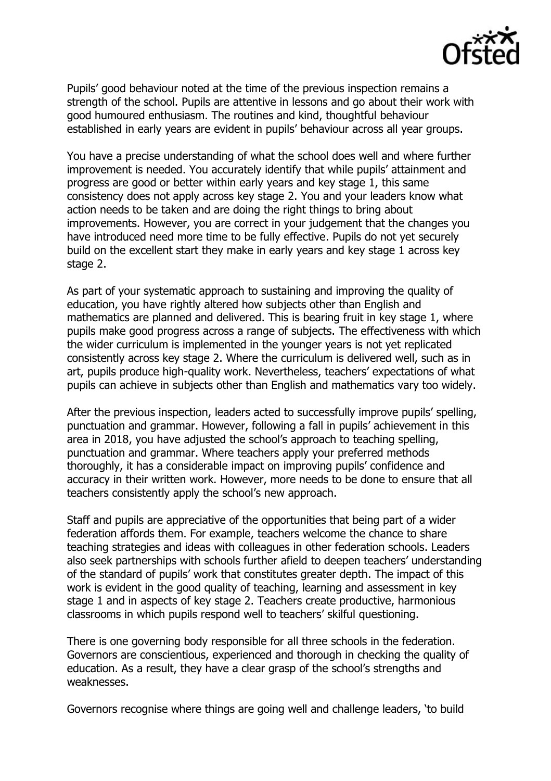

Pupils' good behaviour noted at the time of the previous inspection remains a strength of the school. Pupils are attentive in lessons and go about their work with good humoured enthusiasm. The routines and kind, thoughtful behaviour established in early years are evident in pupils' behaviour across all year groups.

You have a precise understanding of what the school does well and where further improvement is needed. You accurately identify that while pupils' attainment and progress are good or better within early years and key stage 1, this same consistency does not apply across key stage 2. You and your leaders know what action needs to be taken and are doing the right things to bring about improvements. However, you are correct in your judgement that the changes you have introduced need more time to be fully effective. Pupils do not yet securely build on the excellent start they make in early years and key stage 1 across key stage 2.

As part of your systematic approach to sustaining and improving the quality of education, you have rightly altered how subjects other than English and mathematics are planned and delivered. This is bearing fruit in key stage 1, where pupils make good progress across a range of subjects. The effectiveness with which the wider curriculum is implemented in the younger years is not yet replicated consistently across key stage 2. Where the curriculum is delivered well, such as in art, pupils produce high-quality work. Nevertheless, teachers' expectations of what pupils can achieve in subjects other than English and mathematics vary too widely.

After the previous inspection, leaders acted to successfully improve pupils' spelling, punctuation and grammar. However, following a fall in pupils' achievement in this area in 2018, you have adjusted the school's approach to teaching spelling, punctuation and grammar. Where teachers apply your preferred methods thoroughly, it has a considerable impact on improving pupils' confidence and accuracy in their written work. However, more needs to be done to ensure that all teachers consistently apply the school's new approach.

Staff and pupils are appreciative of the opportunities that being part of a wider federation affords them. For example, teachers welcome the chance to share teaching strategies and ideas with colleagues in other federation schools. Leaders also seek partnerships with schools further afield to deepen teachers' understanding of the standard of pupils' work that constitutes greater depth. The impact of this work is evident in the good quality of teaching, learning and assessment in key stage 1 and in aspects of key stage 2. Teachers create productive, harmonious classrooms in which pupils respond well to teachers' skilful questioning.

There is one governing body responsible for all three schools in the federation. Governors are conscientious, experienced and thorough in checking the quality of education. As a result, they have a clear grasp of the school's strengths and weaknesses.

Governors recognise where things are going well and challenge leaders, 'to build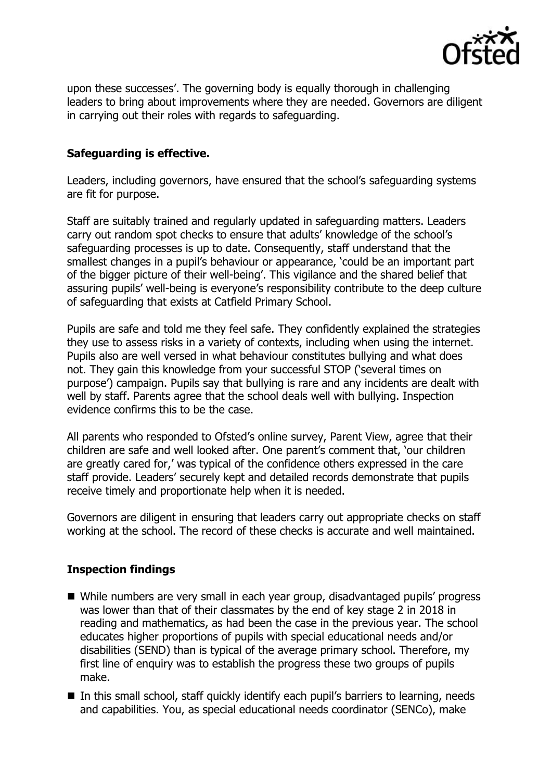

upon these successes'. The governing body is equally thorough in challenging leaders to bring about improvements where they are needed. Governors are diligent in carrying out their roles with regards to safeguarding.

# **Safeguarding is effective.**

Leaders, including governors, have ensured that the school's safeguarding systems are fit for purpose.

Staff are suitably trained and regularly updated in safeguarding matters. Leaders carry out random spot checks to ensure that adults' knowledge of the school's safeguarding processes is up to date. Consequently, staff understand that the smallest changes in a pupil's behaviour or appearance, 'could be an important part of the bigger picture of their well-being'. This vigilance and the shared belief that assuring pupils' well-being is everyone's responsibility contribute to the deep culture of safeguarding that exists at Catfield Primary School.

Pupils are safe and told me they feel safe. They confidently explained the strategies they use to assess risks in a variety of contexts, including when using the internet. Pupils also are well versed in what behaviour constitutes bullying and what does not. They gain this knowledge from your successful STOP ('several times on purpose') campaign. Pupils say that bullying is rare and any incidents are dealt with well by staff. Parents agree that the school deals well with bullying. Inspection evidence confirms this to be the case.

All parents who responded to Ofsted's online survey, Parent View, agree that their children are safe and well looked after. One parent's comment that, 'our children are greatly cared for,' was typical of the confidence others expressed in the care staff provide. Leaders' securely kept and detailed records demonstrate that pupils receive timely and proportionate help when it is needed.

Governors are diligent in ensuring that leaders carry out appropriate checks on staff working at the school. The record of these checks is accurate and well maintained.

## **Inspection findings**

- While numbers are very small in each year group, disadvantaged pupils' progress was lower than that of their classmates by the end of key stage 2 in 2018 in reading and mathematics, as had been the case in the previous year. The school educates higher proportions of pupils with special educational needs and/or disabilities (SEND) than is typical of the average primary school. Therefore, my first line of enquiry was to establish the progress these two groups of pupils make.
- In this small school, staff quickly identify each pupil's barriers to learning, needs and capabilities. You, as special educational needs coordinator (SENCo), make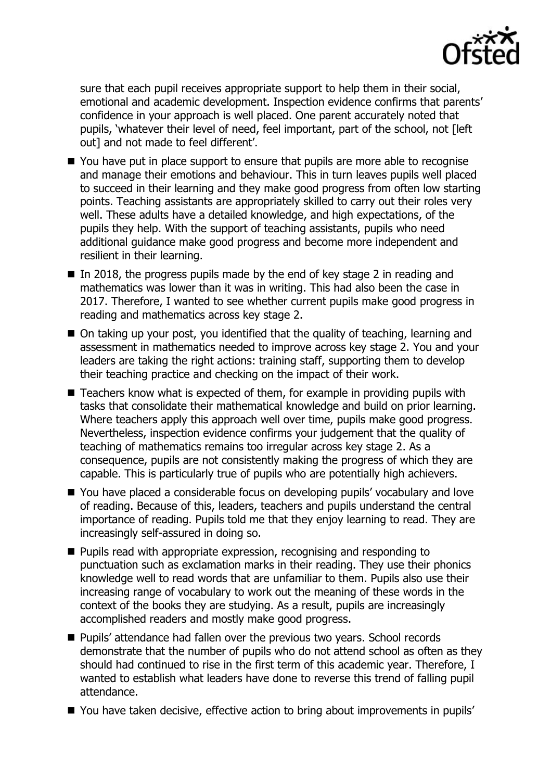

sure that each pupil receives appropriate support to help them in their social, emotional and academic development. Inspection evidence confirms that parents' confidence in your approach is well placed. One parent accurately noted that pupils, 'whatever their level of need, feel important, part of the school, not [left out] and not made to feel different'.

- You have put in place support to ensure that pupils are more able to recognise and manage their emotions and behaviour. This in turn leaves pupils well placed to succeed in their learning and they make good progress from often low starting points. Teaching assistants are appropriately skilled to carry out their roles very well. These adults have a detailed knowledge, and high expectations, of the pupils they help. With the support of teaching assistants, pupils who need additional guidance make good progress and become more independent and resilient in their learning.
- In 2018, the progress pupils made by the end of key stage 2 in reading and mathematics was lower than it was in writing. This had also been the case in 2017. Therefore, I wanted to see whether current pupils make good progress in reading and mathematics across key stage 2.
- On taking up your post, you identified that the quality of teaching, learning and assessment in mathematics needed to improve across key stage 2. You and your leaders are taking the right actions: training staff, supporting them to develop their teaching practice and checking on the impact of their work.
- Teachers know what is expected of them, for example in providing pupils with tasks that consolidate their mathematical knowledge and build on prior learning. Where teachers apply this approach well over time, pupils make good progress. Nevertheless, inspection evidence confirms your judgement that the quality of teaching of mathematics remains too irregular across key stage 2. As a consequence, pupils are not consistently making the progress of which they are capable. This is particularly true of pupils who are potentially high achievers.
- You have placed a considerable focus on developing pupils' vocabulary and love of reading. Because of this, leaders, teachers and pupils understand the central importance of reading. Pupils told me that they enjoy learning to read. They are increasingly self-assured in doing so.
- **Pupils read with appropriate expression, recognising and responding to** punctuation such as exclamation marks in their reading. They use their phonics knowledge well to read words that are unfamiliar to them. Pupils also use their increasing range of vocabulary to work out the meaning of these words in the context of the books they are studying. As a result, pupils are increasingly accomplished readers and mostly make good progress.
- **Pupils' attendance had fallen over the previous two years. School records** demonstrate that the number of pupils who do not attend school as often as they should had continued to rise in the first term of this academic year. Therefore, I wanted to establish what leaders have done to reverse this trend of falling pupil attendance.
- You have taken decisive, effective action to bring about improvements in pupils'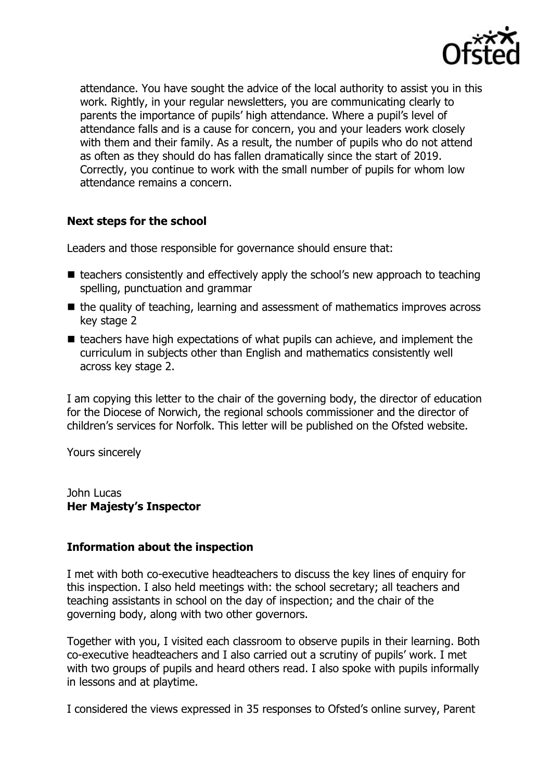

attendance. You have sought the advice of the local authority to assist you in this work. Rightly, in your regular newsletters, you are communicating clearly to parents the importance of pupils' high attendance. Where a pupil's level of attendance falls and is a cause for concern, you and your leaders work closely with them and their family. As a result, the number of pupils who do not attend as often as they should do has fallen dramatically since the start of 2019. Correctly, you continue to work with the small number of pupils for whom low attendance remains a concern.

# **Next steps for the school**

Leaders and those responsible for governance should ensure that:

- $\blacksquare$  teachers consistently and effectively apply the school's new approach to teaching spelling, punctuation and grammar
- $\blacksquare$  the quality of teaching, learning and assessment of mathematics improves across key stage 2
- $\blacksquare$  teachers have high expectations of what pupils can achieve, and implement the curriculum in subjects other than English and mathematics consistently well across key stage 2.

I am copying this letter to the chair of the governing body, the director of education for the Diocese of Norwich, the regional schools commissioner and the director of children's services for Norfolk. This letter will be published on the Ofsted website.

Yours sincerely

John Lucas **Her Majesty's Inspector**

## **Information about the inspection**

I met with both co-executive headteachers to discuss the key lines of enquiry for this inspection. I also held meetings with: the school secretary; all teachers and teaching assistants in school on the day of inspection; and the chair of the governing body, along with two other governors.

Together with you, I visited each classroom to observe pupils in their learning. Both co-executive headteachers and I also carried out a scrutiny of pupils' work. I met with two groups of pupils and heard others read. I also spoke with pupils informally in lessons and at playtime.

I considered the views expressed in 35 responses to Ofsted's online survey, Parent